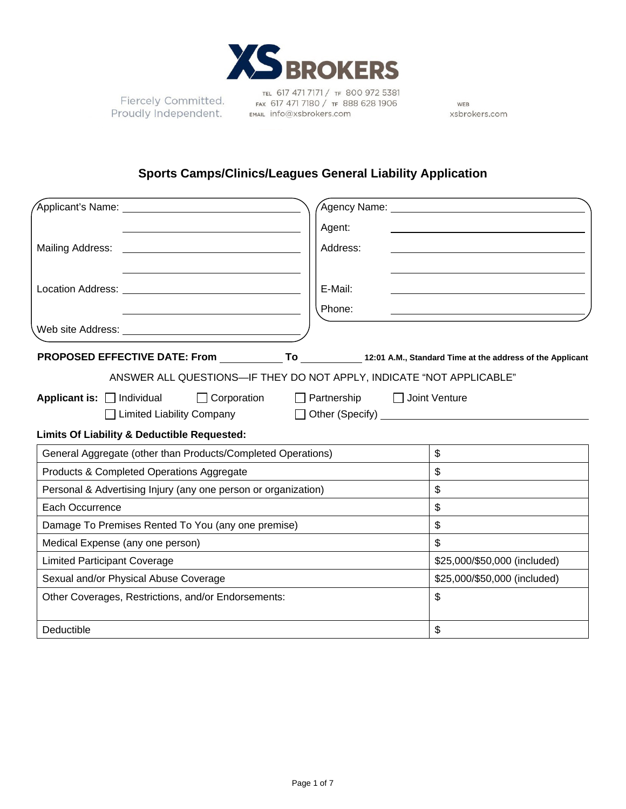

Fiercely Committed. **PIERCETY COMMITTEED.** FAX 617 471 7180 / TF 88<br>Proudly Independent. EMAIL info@xsbrokers.com

TEL 617 471 7171 / TF 800 972 5381 FAX 617 471 7180 / TF 888 628 1906

WEB xsbrokers.com

# **Sports Camps/Clinics/Leagues General Liability Application**

|                                                                                                                       |                    | Agency Name: ______________________________ |
|-----------------------------------------------------------------------------------------------------------------------|--------------------|---------------------------------------------|
|                                                                                                                       | Agent:             |                                             |
| Mailing Address:                                                                                                      | Address:           |                                             |
|                                                                                                                       |                    |                                             |
|                                                                                                                       | E-Mail:            |                                             |
|                                                                                                                       | Phone:             |                                             |
|                                                                                                                       |                    |                                             |
| PROPOSED EFFECTIVE DATE: From ______________To _____________12:01 A.M., Standard Time at the address of the Applicant |                    |                                             |
| ANSWER ALL QUESTIONS-IF THEY DO NOT APPLY, INDICATE "NOT APPLICABLE"                                                  |                    |                                             |
| Applicant is: $\Box$ Individual<br>$\Box$ Corporation                                                                 | $\Box$ Partnership | $\Box$ Joint Venture                        |
| □ Limited Liability Company □ Other (Specify) _________________________________                                       |                    |                                             |
| Limits Of Liability & Deductible Requested:                                                                           |                    |                                             |
| General Aggregate (other than Products/Completed Operations)                                                          |                    | $\mathbb{S}$                                |
| Products & Completed Operations Aggregate                                                                             |                    | \$                                          |
| Personal & Advertising Injury (any one person or organization)                                                        |                    | \$                                          |
| Each Occurrence                                                                                                       |                    | \$                                          |
| Damage To Premises Rented To You (any one premise)                                                                    |                    | \$                                          |
| Medical Expense (any one person)                                                                                      |                    | \$                                          |
| <b>Limited Participant Coverage</b>                                                                                   |                    | \$25,000/\$50,000 (included)                |
| Sexual and/or Physical Abuse Coverage                                                                                 |                    | \$25,000/\$50,000 (included)                |
| Other Coverages, Restrictions, and/or Endorsements:                                                                   |                    | \$                                          |
| Deductible                                                                                                            |                    | \$                                          |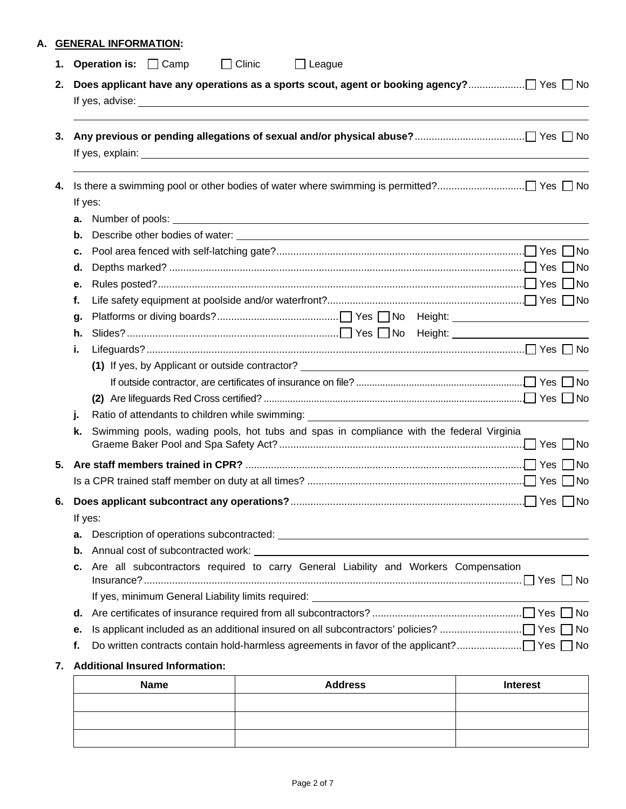# **A. GENERAL INFORMATION:**

| 2. |         |                                        |                                                                                                                                                                                                                                      |  |  |  |
|----|---------|----------------------------------------|--------------------------------------------------------------------------------------------------------------------------------------------------------------------------------------------------------------------------------------|--|--|--|
|    |         |                                        |                                                                                                                                                                                                                                      |  |  |  |
| 3. |         |                                        |                                                                                                                                                                                                                                      |  |  |  |
| 4. |         |                                        |                                                                                                                                                                                                                                      |  |  |  |
|    | If yes: |                                        |                                                                                                                                                                                                                                      |  |  |  |
|    | a.      |                                        | Number of pools: <u>contract and contract and contract and contract and contract and contract and contract and contract and contract and contract and contract and contract and contract and contract and contract and contract </u> |  |  |  |
|    | b.      |                                        |                                                                                                                                                                                                                                      |  |  |  |
|    | c.      |                                        |                                                                                                                                                                                                                                      |  |  |  |
|    | d.      |                                        |                                                                                                                                                                                                                                      |  |  |  |
|    | е.      |                                        |                                                                                                                                                                                                                                      |  |  |  |
|    | f.      |                                        |                                                                                                                                                                                                                                      |  |  |  |
|    | g.      |                                        |                                                                                                                                                                                                                                      |  |  |  |
|    | h.      |                                        |                                                                                                                                                                                                                                      |  |  |  |
|    | i.      |                                        |                                                                                                                                                                                                                                      |  |  |  |
|    |         |                                        | (1) If yes, by Applicant or outside contractor?                                                                                                                                                                                      |  |  |  |
|    |         |                                        |                                                                                                                                                                                                                                      |  |  |  |
|    |         |                                        |                                                                                                                                                                                                                                      |  |  |  |
|    | j.      |                                        | Ratio of attendants to children while swimming:<br>The management of a step and the swimming of the step and the step and the step and the step and the step and the step and the step and the step and the step and the step a      |  |  |  |
|    | k.      |                                        | Swimming pools, wading pools, hot tubs and spas in compliance with the federal Virginia                                                                                                                                              |  |  |  |
| 5. |         |                                        |                                                                                                                                                                                                                                      |  |  |  |
|    |         |                                        |                                                                                                                                                                                                                                      |  |  |  |
| 6. |         |                                        |                                                                                                                                                                                                                                      |  |  |  |
|    | If yes: |                                        |                                                                                                                                                                                                                                      |  |  |  |
|    | а.      |                                        |                                                                                                                                                                                                                                      |  |  |  |
|    | b.      |                                        |                                                                                                                                                                                                                                      |  |  |  |
|    | c.      |                                        | Are all subcontractors required to carry General Liability and Workers Compensation                                                                                                                                                  |  |  |  |
|    |         |                                        |                                                                                                                                                                                                                                      |  |  |  |
|    | d.      |                                        |                                                                                                                                                                                                                                      |  |  |  |
|    | е.      |                                        |                                                                                                                                                                                                                                      |  |  |  |
|    |         |                                        |                                                                                                                                                                                                                                      |  |  |  |
|    | f.      |                                        |                                                                                                                                                                                                                                      |  |  |  |
| 7. |         | <b>Additional Insured Information:</b> |                                                                                                                                                                                                                                      |  |  |  |

| Name | <b>Address</b> | <b>Interest</b> |
|------|----------------|-----------------|
|      |                |                 |
|      |                |                 |
|      |                |                 |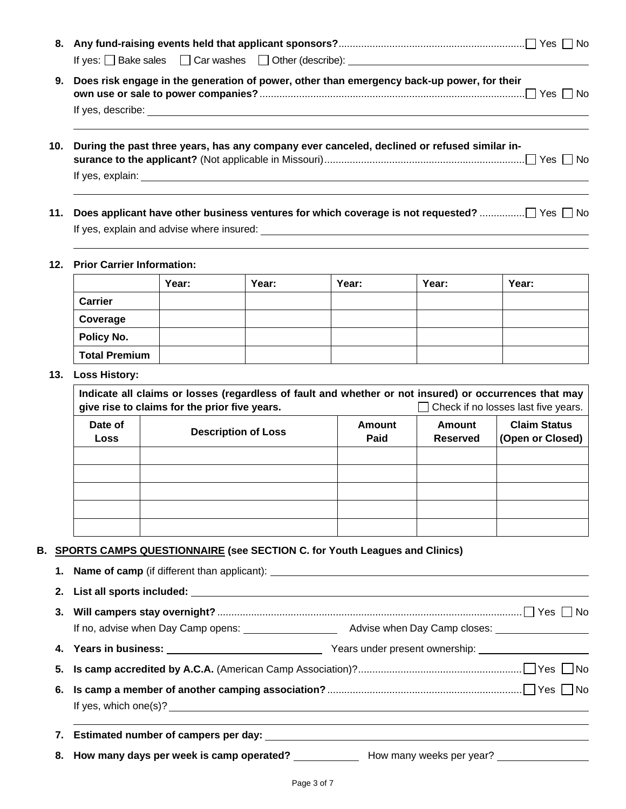| 9.  | Does risk engage in the generation of power, other than emergency back-up power, for their  |
|-----|---------------------------------------------------------------------------------------------|
|     |                                                                                             |
| 10. | During the past three years, has any company ever canceled, declined or refused similar in- |
|     |                                                                                             |
|     |                                                                                             |
|     |                                                                                             |

**11. Does applicant have other business ventures for which coverage is not requested?** ................ Yes No If yes, explain and advise where insured:

### **12. Prior Carrier Information:**

|                | Year: | Year: | Year: | Year: | Year: |
|----------------|-------|-------|-------|-------|-------|
| <b>Carrier</b> |       |       |       |       |       |
| Coverage       |       |       |       |       |       |
| Policy No.     |       |       |       |       |       |
| Total Premium  |       |       |       |       |       |

#### **13. Loss History:**

| Indicate all claims or losses (regardless of fault and whether or not insured) or occurrences that may<br>give rise to claims for the prior five years.<br>$\Box$ Check if no losses last five years. |                            |                       |                                                                      |  |  |
|-------------------------------------------------------------------------------------------------------------------------------------------------------------------------------------------------------|----------------------------|-----------------------|----------------------------------------------------------------------|--|--|
| Date of<br>Loss                                                                                                                                                                                       | <b>Description of Loss</b> | <b>Amount</b><br>Paid | <b>Claim Status</b><br>Amount<br>(Open or Closed)<br><b>Reserved</b> |  |  |
|                                                                                                                                                                                                       |                            |                       |                                                                      |  |  |
|                                                                                                                                                                                                       |                            |                       |                                                                      |  |  |
|                                                                                                                                                                                                       |                            |                       |                                                                      |  |  |
|                                                                                                                                                                                                       |                            |                       |                                                                      |  |  |
|                                                                                                                                                                                                       |                            |                       |                                                                      |  |  |

## **B. SPORTS CAMPS QUESTIONNAIRE (see SECTION C. for Youth Leagues and Clinics)**

| If yes, which one(s)? $\frac{1}{2}$ and $\frac{1}{2}$ and $\frac{1}{2}$ and $\frac{1}{2}$ and $\frac{1}{2}$ and $\frac{1}{2}$ and $\frac{1}{2}$ and $\frac{1}{2}$ and $\frac{1}{2}$ and $\frac{1}{2}$ and $\frac{1}{2}$ and $\frac{1}{2}$ and $\frac{1}{2}$ and $\frac{1}{2}$ and $\frac$ |                                                                                                      |
|-------------------------------------------------------------------------------------------------------------------------------------------------------------------------------------------------------------------------------------------------------------------------------------------|------------------------------------------------------------------------------------------------------|
|                                                                                                                                                                                                                                                                                           |                                                                                                      |
|                                                                                                                                                                                                                                                                                           | 8. How many days per week is camp operated? ______________ How many weeks per year? ________________ |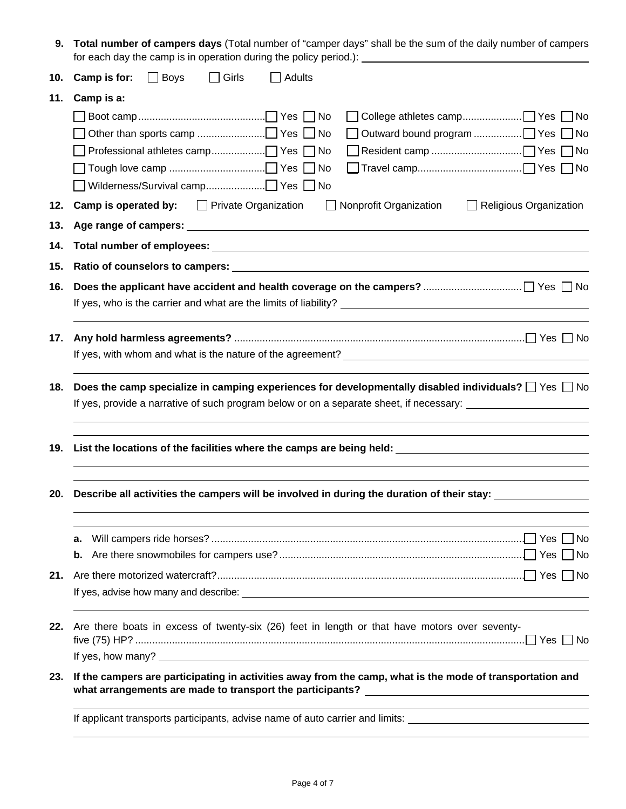**9. Total number of campers days** (Total number of "camper days" shall be the sum of the daily number of campers for each day the camp is in operation during the policy period.):

| 10. | $\Box$ Boys<br>$\Box$ Girls<br>Camp is for:<br>$\Box$ Adults                                                                                                                                                                     |
|-----|----------------------------------------------------------------------------------------------------------------------------------------------------------------------------------------------------------------------------------|
| 11. | Camp is a:                                                                                                                                                                                                                       |
|     |                                                                                                                                                                                                                                  |
| 12. | <b>Camp is operated by:</b> $\Box$ Private Organization<br>Nonprofit Organization<br>$\Box$ Religious Organization<br>$\perp$                                                                                                    |
| 13. |                                                                                                                                                                                                                                  |
| 14. |                                                                                                                                                                                                                                  |
| 15. |                                                                                                                                                                                                                                  |
| 16. |                                                                                                                                                                                                                                  |
| 17. |                                                                                                                                                                                                                                  |
| 18. | Does the camp specialize in camping experiences for developmentally disabled individuals? $\square$ Yes $\square$ No<br>If yes, provide a narrative of such program below or on a separate sheet, if necessary:                  |
|     | and the control of the control of the control of the control of the control of the control of the control of the<br>19. List the locations of the facilities where the camps are being held: __________________________          |
| 20. | Describe all activities the campers will be involved in during the duration of their stay:                                                                                                                                       |
|     | a.<br>b.                                                                                                                                                                                                                         |
| 21. |                                                                                                                                                                                                                                  |
| 22. | Are there boats in excess of twenty-six (26) feet in length or that have motors over seventy-                                                                                                                                    |
|     | If yes, how many? $\sqrt{2}$ is a set of the set of the set of the set of the set of the set of the set of the set of the set of the set of the set of the set of the set of the set of the set of the set of the set of the set |
| 23. | If the campers are participating in activities away from the camp, what is the mode of transportation and<br>what arrangements are made to transport the participants?                                                           |
|     | If applicant transports participants, advise name of auto carrier and limits:                                                                                                                                                    |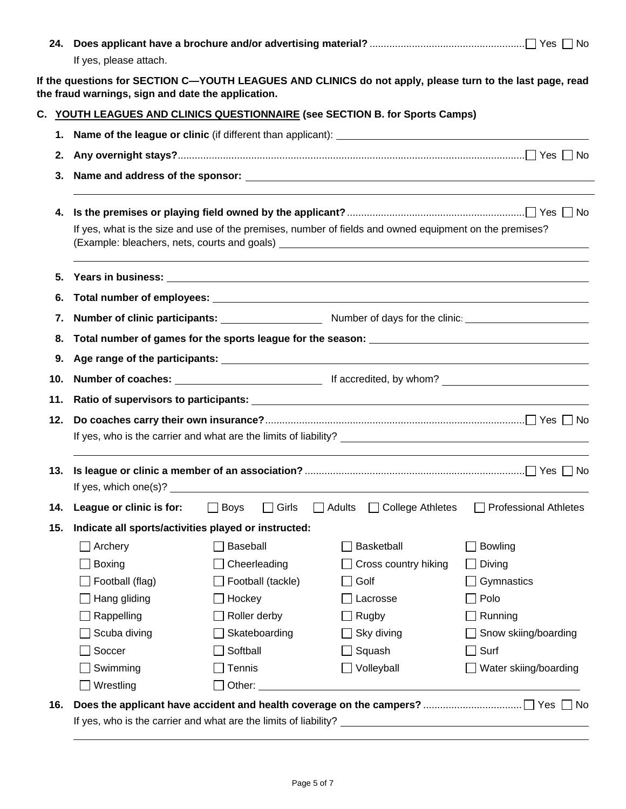|     | If yes, please attach.                               |                                                                              |                                                                                                           |                              |  |  |  |
|-----|------------------------------------------------------|------------------------------------------------------------------------------|-----------------------------------------------------------------------------------------------------------|------------------------------|--|--|--|
|     | the fraud warnings, sign and date the application.   |                                                                              | If the questions for SECTION C—YOUTH LEAGUES AND CLINICS do not apply, please turn to the last page, read |                              |  |  |  |
|     |                                                      | C. YOUTH LEAGUES AND CLINICS QUESTIONNAIRE (see SECTION B. for Sports Camps) |                                                                                                           |                              |  |  |  |
| 1.  |                                                      |                                                                              |                                                                                                           |                              |  |  |  |
| 2.  |                                                      |                                                                              |                                                                                                           |                              |  |  |  |
|     | 3.                                                   |                                                                              |                                                                                                           |                              |  |  |  |
| 4.  |                                                      |                                                                              |                                                                                                           |                              |  |  |  |
|     |                                                      |                                                                              | If yes, what is the size and use of the premises, number of fields and owned equipment on the premises?   |                              |  |  |  |
| 5.  |                                                      |                                                                              |                                                                                                           |                              |  |  |  |
| 6.  |                                                      |                                                                              |                                                                                                           |                              |  |  |  |
| 7.  |                                                      |                                                                              |                                                                                                           |                              |  |  |  |
| 8.  |                                                      |                                                                              |                                                                                                           |                              |  |  |  |
| 9.  |                                                      |                                                                              |                                                                                                           |                              |  |  |  |
| 10. |                                                      |                                                                              |                                                                                                           |                              |  |  |  |
| 11. |                                                      |                                                                              |                                                                                                           |                              |  |  |  |
| 12. |                                                      |                                                                              |                                                                                                           |                              |  |  |  |
| 13. |                                                      |                                                                              | If yes, which one(s)? $\qquad \qquad$                                                                     |                              |  |  |  |
| 14. | League or clinic is for:                             | <b>Boys</b><br>Girls                                                         | Adults<br><b>College Athletes</b>                                                                         | <b>Professional Athletes</b> |  |  |  |
| 15. | Indicate all sports/activities played or instructed: |                                                                              |                                                                                                           |                              |  |  |  |
|     | Archery                                              | Baseball                                                                     | Basketball                                                                                                | Bowling                      |  |  |  |
|     | <b>Boxing</b>                                        | Cheerleading                                                                 | Cross country hiking                                                                                      | Diving                       |  |  |  |
|     | Football (flag)                                      | Football (tackle)                                                            | Golf                                                                                                      | Gymnastics                   |  |  |  |
|     | Hang gliding                                         | Hockey                                                                       | Lacrosse                                                                                                  | Polo                         |  |  |  |
|     | Rappelling                                           | Roller derby                                                                 | Rugby                                                                                                     | Running                      |  |  |  |
|     | Scuba diving                                         | Skateboarding                                                                | Sky diving                                                                                                | Snow skiing/boarding         |  |  |  |
|     | Soccer                                               | Softball                                                                     | Squash                                                                                                    | Surf                         |  |  |  |
|     | Swimming                                             | Tennis                                                                       | Volleyball                                                                                                | Water skiing/boarding        |  |  |  |
|     | Wrestling                                            | Other:                                                                       |                                                                                                           |                              |  |  |  |
| 16. |                                                      |                                                                              |                                                                                                           |                              |  |  |  |
|     |                                                      | If yes, who is the carrier and what are the limits of liability?             |                                                                                                           |                              |  |  |  |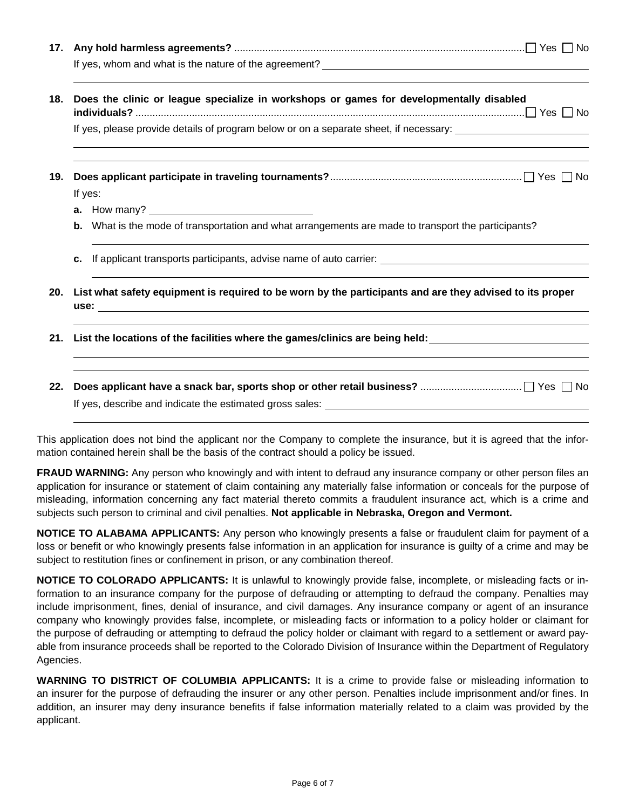| 17. |                                                                                                            |
|-----|------------------------------------------------------------------------------------------------------------|
|     |                                                                                                            |
| 18. | Does the clinic or league specialize in workshops or games for developmentally disabled                    |
|     | If yes, please provide details of program below or on a separate sheet, if necessary:                      |
| 19. | If yes:                                                                                                    |
|     |                                                                                                            |
|     | <b>b.</b> What is the mode of transportation and what arrangements are made to transport the participants? |
|     | c.                                                                                                         |
| 20. | List what safety equipment is required to be worn by the participants and are they advised to its proper   |
|     |                                                                                                            |
|     |                                                                                                            |
|     |                                                                                                            |

| This application does not bind the applicant nor the Company to complete the insurance, but it is agreed that the infor- |  |  |  |
|--------------------------------------------------------------------------------------------------------------------------|--|--|--|
| mation contained herein shall be the basis of the contract should a policy be issued.                                    |  |  |  |

If yes, describe and indicate the estimated gross sales:

**22. Does applicant have a snack bar, sports shop or other retail business?** .................................... Yes No

**FRAUD WARNING:** Any person who knowingly and with intent to defraud any insurance company or other person files an application for insurance or statement of claim containing any materially false information or conceals for the purpose of misleading, information concerning any fact material thereto commits a fraudulent insurance act, which is a crime and subjects such person to criminal and civil penalties. **Not applicable in Nebraska, Oregon and Vermont.** 

**NOTICE TO ALABAMA APPLICANTS:** Any person who knowingly presents a false or fraudulent claim for payment of a loss or benefit or who knowingly presents false information in an application for insurance is guilty of a crime and may be subject to restitution fines or confinement in prison, or any combination thereof.

**NOTICE TO COLORADO APPLICANTS:** It is unlawful to knowingly provide false, incomplete, or misleading facts or information to an insurance company for the purpose of defrauding or attempting to defraud the company. Penalties may include imprisonment, fines, denial of insurance, and civil damages. Any insurance company or agent of an insurance company who knowingly provides false, incomplete, or misleading facts or information to a policy holder or claimant for the purpose of defrauding or attempting to defraud the policy holder or claimant with regard to a settlement or award payable from insurance proceeds shall be reported to the Colorado Division of Insurance within the Department of Regulatory Agencies.

**WARNING TO DISTRICT OF COLUMBIA APPLICANTS:** It is a crime to provide false or misleading information to an insurer for the purpose of defrauding the insurer or any other person. Penalties include imprisonment and/or fines. In addition, an insurer may deny insurance benefits if false information materially related to a claim was provided by the applicant.